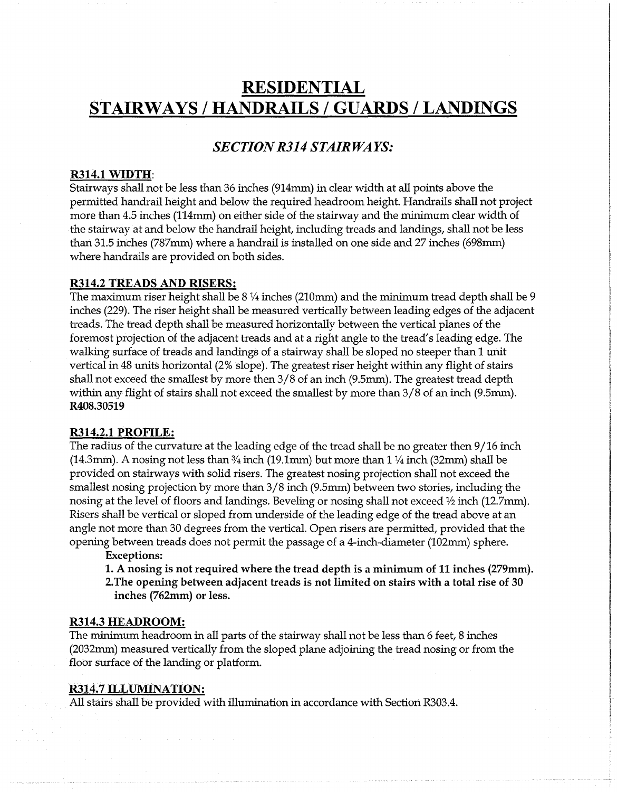# **RESIDENTIAL STAIRWAYS / HANDRAILS / GUARDS / LANDINGS**

# *SECTION R314 STAIRWAYS:*

#### R314.1 WIDTH:

Stairways shall not be less than 36 inches (914mm) in clear width at all points above the permitted handrail height and below the required headroom height. Handrails shall not project more than 4.5 inches (114mm) on either side of the stairway and the minimum clear width of the stairway at and below the handrail height, including treads and landings, shall not be less than 31.5 inches (787mm) where a handrail is installed on one side and 27 inches (698mm) where handrails are provided on both sides.

#### R314.2 TREADS AND RISERS:

The maximum riser height shall be  $8\frac{1}{4}$  inches (210mm) and the minimum tread depth shall be 9 inches (229). The riser height shall be measured vertically between leading edges of the adjacent treads. The tread depth shall be measured horizontally between the vertical planes of the foremost projection of the adjacent treads and at a right angle to the tread's leading edge. The walking surface of treads and landings of a stairway shall be sloped no steeper than 1 unit vertical in 48 units horizontal (2% slope). The greatest riser height within any flight of stairs shall not exceed the smallest by more then 3/8 of an inch (9.5mm). The greatest tread depth within any flight of stairs shall not exceed the smallest by more than 3/8 of an inch (9.5mm). R408.30519

#### R314.2.1 PROFILE:

The radius of the curvature at the leading edge of the tread shall be no greater then 9/16 inch  $(14.3mm)$ . A nosing not less than  $\frac{3}{4}$  inch  $(19.1mm)$  but more than 1  $\frac{1}{4}$  inch  $(32mm)$  shall be provided on stairways with solid risers. The greatest nosing projection shall not exceed the smallest nosing projection by more than 3/8 inch (9.5mm) between two stories, including the nosing at the level of floors and landings. Beveling or nosing shall not exceed  $\frac{1}{2}$  inch (12.7mm). Risers shall be vertical or sloped from underside of the leading edge of the tread above at an angle not more than 30 degrees from the vertical. Open risers are permitted, provided that the opening between treads does not permit the passage of a 4-inch-diameter (102mm) sphere.

#### Exceptions:

1. A nosing is not required where the tread depth is a minimum of 11 inches (279mm). 2.The opening between adjacent treads is not limited on stairs with a total rise of 30 inches (762mm) or less.

#### R314.3 HEADROOM:

The minimum headroom in all parts of the stairway shall not be less than 6 feet, 8 inches (2032mm) measured vertically from the sloped plane adjoining the tread nosing or from the floor surface of the landing or platform.

#### R314.7 ILLUMINATION:

All stairs shall be provided with illumination in accordance with Section R303.4.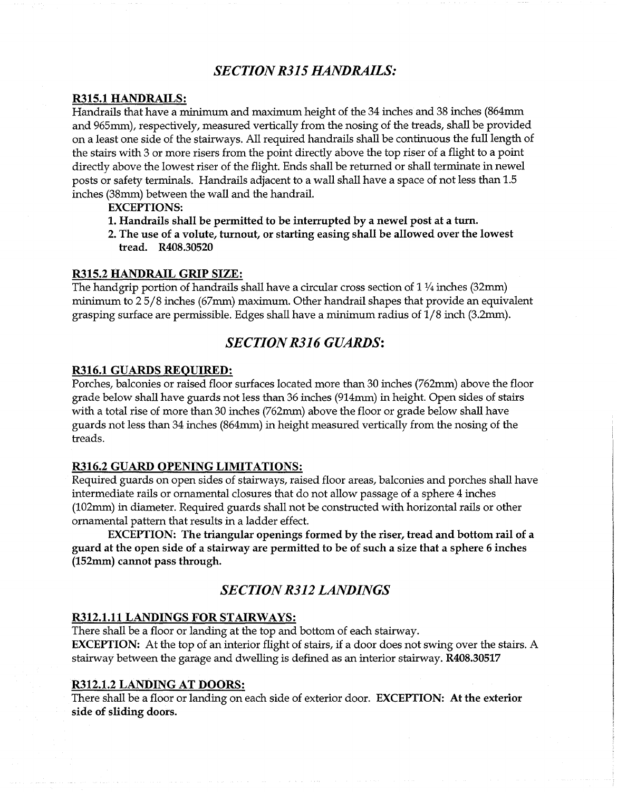### *SECTION R315 HANDRAILS:*

### R315.1 HANDRAILS:

Handrails that have a minimum and maximum height of the 34 inches and 38 inches (864mm and 965mm), respectively, measured vertically from the nosing of the treads, shall be provided on a least one side of the stairways. All required handrails shall be continuous the full length of the stairs with 3 or more risers from the point directly above the top riser of a flight to a point directly above the lowest riser of the flight. Ends shall be returned or shall terminate in newel posts or safety terminals. Handrails adjacent to a wall shall have a space of not less than 1.5 inches (38mm) between the wall and the handrail.

EXCEPTIONS:

- 1. Handrails shall be permitted to be interrupted by a newel post at a turn.
- 2. The use of a volute, turnout, or starting easing shall be allowed over the lowest tread. R408.30520

#### R315.2 HANDRAIL GRIP SIZE:

The hand grip portion of handrails shall have a circular cross section of  $1\frac{1}{4}$  inches (32mm) minimum to 2 5/8 inches (67mm) maximum. Other handrail shapes that provide an equivalent grasping surface are permissible. Edges shall have a minimum radius of 1/8 inch (3.2mm).

# *SECTION R316 GUARDS:*

#### R316.1 GUARDS REQUIRED:

Porches, balconies or raised floor surfaces located more than 30 inches (762mm) above the floor grade below shall have guards not less than 36 inches (914mm) in height. Open sides of stairs with a total rise of more than 30 inches (762mm) above the floor or grade below shall have guards not less than 34 inches (864mm) in height measured vertically from the nosing of the treads.

#### R316.2 GUARD OPENING LIMITATIONS:

Required guards on open sides of stairways, raised floor areas, balconies and porches shall have intermediate rails or ornamental closures that do not allow passage of a sphere 4 inches (102mm) in diameter. Required guards shall not be constructed with horizontal rails or other ornamental pattern that results in a ladder effect.

EXCEPTION: The triangular openings formed by the riser, tread and bottom rail of a guard at the open side of a stairway are permitted to be of such a size that a sphere 6 inches (152mm) cannot pass through.

### *SECTION R312 LANDINGS*

### R312.1.11 LANDINGS FOR STAIRWAYS:

There shall be a floor or landing at the top and bottom of each stairway. EXCEPTION: At the top of an interior flight of stairs, if a door does not swing over the stairs. A stairway between the garage and dwelling is defined as an interior stairway. R408.30517

### R312.1.2 LANDING AT DOORS:

There shall be a floor or landing on each side of exterior door. EXCEPTION: At the exterior side of sliding doors.